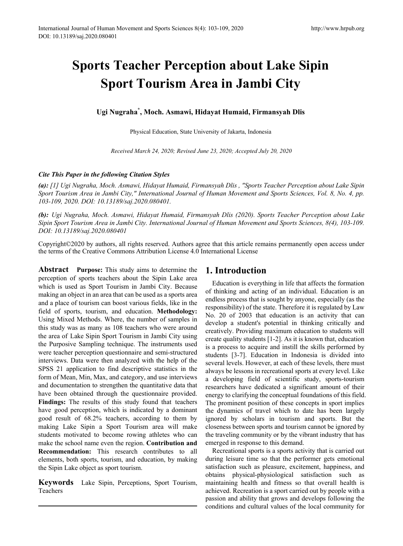# **Sports Teacher Perception about Lake Sipin Sport Tourism Area in Jambi City**

**Ugi Nugraha\* , Moch. Asmawi, Hidayat Humaid, Firmansyah Dlis**

Physical Education, State University of Jakarta, Indonesia

*Received March 24, 2020; Revised June 23, 2020; Accepted July 20, 2020*

### *Cite This Paper in the following Citation Styles*

*(a): [1] Ugi Nugraha, Moch. Asmawi, Hidayat Humaid, Firmansyah Dlis , "Sports Teacher Perception about Lake Sipin Sport Tourism Area in Jambi City," International Journal of Human Movement and Sports Sciences, Vol. 8, No. 4, pp. 103-109, 2020. DOI: 10.13189/saj.2020.080401.* 

*(b): Ugi Nugraha, Moch. Asmawi, Hidayat Humaid, Firmansyah Dlis (2020). Sports Teacher Perception about Lake Sipin Sport Tourism Area in Jambi City. International Journal of Human Movement and Sports Sciences, 8(4), 103-109. DOI: 10.13189/saj.2020.080401*

Copyright©2020 by authors, all rights reserved. Authors agree that this article remains permanently open access under the terms of the Creative Commons Attribution License 4.0 International License

**Abstract Purpose:** This study aims to determine the perception of sports teachers about the Sipin Lake area which is used as Sport Tourism in Jambi City. Because making an object in an area that can be used as a sports area and a place of tourism can boost various fields, like in the field of sports, tourism, and education. **Methodology:** Using Mixed Methods. Where, the number of samples in this study was as many as 108 teachers who were around the area of Lake Sipin Sport Tourism in Jambi City using the Purposive Sampling technique. The instruments used were teacher perception questionnaire and semi-structured interviews. Data were then analyzed with the help of the SPSS 21 application to find descriptive statistics in the form of Mean, Min, Max, and category, and use interviews and documentation to strengthen the quantitative data that have been obtained through the questionnaire provided. **Findings:** The results of this study found that teachers have good perception, which is indicated by a dominant good result of 68.2% teachers, according to them by making Lake Sipin a Sport Tourism area will make students motivated to become rowing athletes who can make the school name even the region. **Contribution and Recommendation:** This research contributes to all elements, both sports, tourism, and education, by making the Sipin Lake object as sport tourism.

**Keywords** Lake Sipin, Perceptions, Sport Tourism, Teachers

# **1. Introduction**

Education is everything in life that affects the formation of thinking and acting of an individual. Education is an endless process that is sought by anyone, especially (as the responsibility) of the state. Therefore it is regulated by Law No. 20 of 2003 that education is an activity that can develop a student's potential in thinking critically and creatively. Providing maximum education to students will create quality students [1-2]. As it is known that, education is a process to acquire and instill the skills performed by students [3-7]. Education in Indonesia is divided into several levels. However, at each of these levels, there must always be lessons in recreational sports at every level. Like a developing field of scientific study, sports-tourism researchers have dedicated a significant amount of their energy to clarifying the conceptual foundations of this field. The prominent position of these concepts in sport implies the dynamics of travel which to date has been largely ignored by scholars in tourism and sports. But the closeness between sports and tourism cannot be ignored by the traveling community or by the vibrant industry that has emerged in response to this demand.

Recreational sports is a sports activity that is carried out during leisure time so that the performer gets emotional satisfaction such as pleasure, excitement, happiness, and obtains physical-physiological satisfaction such as maintaining health and fitness so that overall health is achieved. Recreation is a sport carried out by people with a passion and ability that grows and develops following the conditions and cultural values of the local community for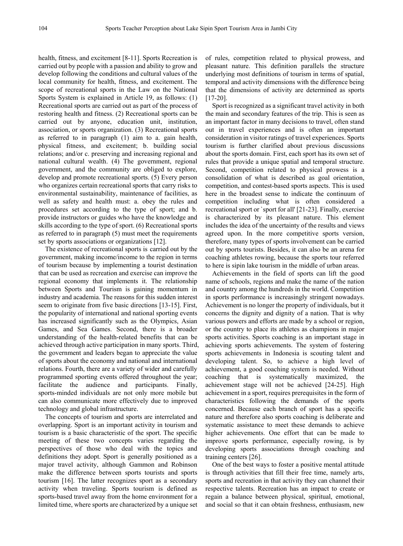health, fitness, and excitement [8-11]. Sports Recreation is carried out by people with a passion and ability to grow and develop following the conditions and cultural values of the local community for health, fitness, and excitement. The scope of recreational sports in the Law on the National Sports System is explained in Article 19, as follows: (1) Recreational sports are carried out as part of the process of restoring health and fitness. (2) Recreational sports can be carried out by anyone, education unit, institution, association, or sports organization. (3) Recreational sports as referred to in paragraph (1) aim to a. gain health, physical fitness, and excitement; b. building social relations; and/or c. preserving and increasing regional and national cultural wealth. (4) The government, regional government, and the community are obliged to explore, develop and promote recreational sports. (5) Every person who organizes certain recreational sports that carry risks to environmental sustainability, maintenance of facilities, as well as safety and health must: a. obey the rules and procedures set according to the type of sport; and b. provide instructors or guides who have the knowledge and skills according to the type of sport. (6) Recreational sports as referred to in paragraph (5) must meet the requirements set by sports associations or organizations [12].

The existence of recreational sports is carried out by the government, making income/income to the region in terms of tourism because by implementing a tourist destination that can be used as recreation and exercise can improve the regional economy that implements it. The relationship between Sports and Tourism is gaining momentum in industry and academia. The reasons for this sudden interest seem to originate from five basic directions [13-15]. First, the popularity of international and national sporting events has increased significantly such as the Olympics, Asian Games, and Sea Games. Second, there is a broader understanding of the health-related benefits that can be achieved through active participation in many sports. Third, the government and leaders began to appreciate the value of sports about the economy and national and international relations. Fourth, there are a variety of wider and carefully programmed sporting events offered throughout the year; facilitate the audience and participants. Finally, sports-minded individuals are not only more mobile but can also communicate more effectively due to improved technology and global infrastructure.

The concepts of tourism and sports are interrelated and overlapping. Sport is an important activity in tourism and tourism is a basic characteristic of the sport. The specific meeting of these two concepts varies regarding the perspectives of those who deal with the topics and definitions they adopt. Sport is generally positioned as a major travel activity, although Gammon and Robinson make the difference between sports tourists and sports tourism [16]. The latter recognizes sport as a secondary activity when traveling. Sports tourism is defined as sports-based travel away from the home environment for a limited time, where sports are characterized by a unique set of rules, competition related to physical prowess, and pleasant nature. This definition parallels the structure underlying most definitions of tourism in terms of spatial, temporal and activity dimensions with the difference being that the dimensions of activity are determined as sports [17-20].

Sport is recognized as a significant travel activity in both the main and secondary features of the trip. This is seen as an important factor in many decisions to travel, often stand out in travel experiences and is often an important consideration in visitor ratings of travel experiences. Sports tourism is further clarified about previous discussions about the sports domain. First, each sport has its own set of rules that provide a unique spatial and temporal structure. Second, competition related to physical prowess is a consolidation of what is described as goal orientation, competition, and contest-based sports aspects. This is used here in the broadest sense to indicate the continuum of competition including what is often considered a recreational sport or `sport for all' [21-23]. Finally, exercise is characterized by its pleasant nature. This element includes the idea of the uncertainty of the results and views agreed upon. In the more competitive sports version, therefore, many types of sports involvement can be carried out by sports tourists. Besides, it can also be an arena for coaching athletes rowing, because the sports tour referred to here is sipin lake tourism in the middle of urban areas.

Achievements in the field of sports can lift the good name of schools, regions and make the name of the nation and country among the hundreds in the world. Competition in sports performance is increasingly stringent nowadays. Achievement is no longer the property of individuals, but it concerns the dignity and dignity of a nation. That is why various powers and efforts are made by a school or region, or the country to place its athletes as champions in major sports activities. Sports coaching is an important stage in achieving sports achievements. The system of fostering sports achievements in Indonesia is scouting talent and developing talent. So, to achieve a high level of achievement, a good coaching system is needed. Without coaching that is systematically maximized, the achievement stage will not be achieved [24-25]. High achievement in a sport, requires prerequisites in the form of characteristics following the demands of the sports concerned. Because each branch of sport has a specific nature and therefore also sports coaching is deliberate and systematic assistance to meet these demands to achieve higher achievements. One effort that can be made to improve sports performance, especially rowing, is by developing sports associations through coaching and training centers [26].

One of the best ways to foster a positive mental attitude is through activities that fill their free time, namely arts, sports and recreation in that activity they can channel their respective talents. Recreation has an impact to create or regain a balance between physical, spiritual, emotional, and social so that it can obtain freshness, enthusiasm, new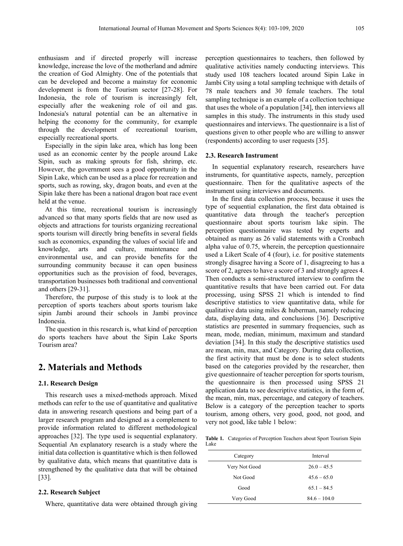enthusiasm and if directed properly will increase knowledge, increase the love of the motherland and admire the creation of God Almighty. One of the potentials that can be developed and become a mainstay for economic development is from the Tourism sector [27-28]. For Indonesia, the role of tourism is increasingly felt, especially after the weakening role of oil and gas. Indonesia's natural potential can be an alternative in helping the economy for the community, for example through the development of recreational tourism, especially recreational sports.

Especially in the sipin lake area, which has long been used as an economic center by the people around Lake Sipin, such as making sprouts for fish, shrimp, etc. However, the government sees a good opportunity in the Sipin Lake, which can be used as a place for recreation and sports, such as rowing, sky, dragon boats, and even at the Sipin lake there has been a national dragon boat race event held at the venue.

At this time, recreational tourism is increasingly advanced so that many sports fields that are now used as objects and attractions for tourists organizing recreational sports tourism will directly bring benefits in several fields such as economics, expanding the values of social life and knowledge, arts and culture, maintenance and environmental use, and can provide benefits for the surrounding community because it can open business opportunities such as the provision of food, beverages, transportation businesses both traditional and conventional and others [29-31].

Therefore, the purpose of this study is to look at the perception of sports teachers about sports tourism lake sipin Jambi around their schools in Jambi province Indonesia.

The question in this research is, what kind of perception do sports teachers have about the Sipin Lake Sports Tourism area?

# **2. Materials and Methods**

#### **2.1. Research Design**

This research uses a mixed-methods approach. Mixed methods can refer to the use of quantitative and qualitative data in answering research questions and being part of a larger research program and designed as a complement to provide information related to different methodological approaches [32]. The type used is sequential explanatory. Sequential An explanatory research is a study where the initial data collection is quantitative which is then followed by qualitative data, which means that quantitative data is strengthened by the qualitative data that will be obtained [33].

#### **2.2. Research Subject**

Where, quantitative data were obtained through giving

perception questionnaires to teachers, then followed by qualitative activities namely conducting interviews. This study used 108 teachers located around Sipin Lake in Jambi City using a total sampling technique with details of 78 male teachers and 30 female teachers. The total sampling technique is an example of a collection technique that uses the whole of a population [34], then interviews all samples in this study. The instruments in this study used questionnaires and interviews. The questionnaire is a list of questions given to other people who are willing to answer (respondents) according to user requests [35].

#### **2.3. Research Instrument**

In sequential explanatory research, researchers have instruments, for quantitative aspects, namely, perception questionnaire. Then for the qualitative aspects of the instrument using interviews and documents.

In the first data collection process, because it uses the type of sequential explanation, the first data obtained is quantitative data through the teacher's perception questionnaire about sports tourism lake sipin. The perception questionnaire was tested by experts and obtained as many as 26 valid statements with a Cronbach alpha value of 0.75, wherein, the perception questionnaire used a Likert Scale of 4 (four), i.e. for positive statements strongly disagree having a Score of 1, disagreeing to has a score of 2, agrees to have a score of 3 and strongly agrees 4. Then conducts a semi-structured interview to confirm the quantitative results that have been carried out. For data processing, using SPSS 21 which is intended to find descriptive statistics to view quantitative data, while for qualitative data using miles & huberman, namely reducing data, displaying data, and conclusions [36]. Descriptive statistics are presented in summary frequencies, such as mean, mode, median, minimum, maximum and standard deviation [34]. In this study the descriptive statistics used are mean, min, max, and Category. During data collection, the first activity that must be done is to select students based on the categories provided by the researcher, then give questionnaire of teacher perception for sports tourism, the questionnaire is then processed using SPSS 21 application data to see descriptive statistics, in the form of, the mean, min, max, percentage, and category of teachers. Below is a category of the perception teacher to sports tourism, among others, very good, good, not good, and very not good, like table 1 below:

**Table 1.** Categories of Perception Teachers about Sport Tourism Sipin Lake

| Category      | Interval       |  |  |
|---------------|----------------|--|--|
| Very Not Good | $26.0 - 45.5$  |  |  |
| Not Good      | $45.6 - 65.0$  |  |  |
| Good          | $65.1 - 84.5$  |  |  |
| Very Good     | $84.6 - 104.0$ |  |  |
|               |                |  |  |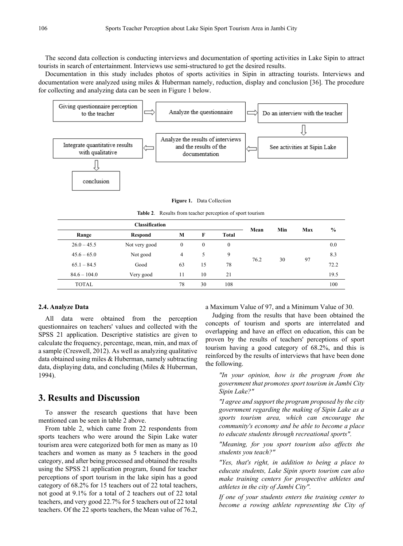The second data collection is conducting interviews and documentation of sporting activities in Lake Sipin to attract tourists in search of entertainment. Interviews use semi-structured to get the desired results.

Documentation in this study includes photos of sports activities in Sipin in attracting tourists. Interviews and documentation were analyzed using miles & Huberman namely, reduction, display and conclusion [36]. The procedure for collecting and analyzing data can be seen in Figure 1 below.



**Figure 1.** Data Collection

| <b>Classification</b> |               |                |              |              |      | Min |     | $\frac{0}{0}$ |
|-----------------------|---------------|----------------|--------------|--------------|------|-----|-----|---------------|
| Range                 | Respond       | M              | F            | <b>Total</b> | Mean |     | Max |               |
| $26.0 - 45.5$         | Not very good | 0              | $\mathbf{0}$ | $\mathbf{0}$ | 76.2 | 30  | 97  | 0.0           |
| $45.6 - 65.0$         | Not good      | $\overline{4}$ | 5            | 9            |      |     |     | 8.3           |
| $65.1 - 84.5$         | Good          | 63             | 15           | 78           |      |     |     | 72.2          |
| $84.6 - 104.0$        | Very good     | 11             | 10           | 21           |      |     |     | 19.5          |
| <b>TOTAL</b>          |               | 78             | 30           | 108          |      |     |     | 100           |

**Table 2**. Results from teacher perception of sport tourism

#### **2.4. Analyze Data**

All data were obtained from the perception questionnaires on teachers' values and collected with the SPSS 21 application. Descriptive statistics are given to calculate the frequency, percentage, mean, min, and max of a sample (Creswell, 2012). As well as analyzing qualitative data obtained using miles & Huberman, namely subtracting data, displaying data, and concluding (Miles & Huberman, 1994).

# **3. Results and Discussion**

To answer the research questions that have been mentioned can be seen in table 2 above.

From table 2, which came from 22 respondents from sports teachers who were around the Sipin Lake water tourism area were categorized both for men as many as 10 teachers and women as many as 5 teachers in the good category, and after being processed and obtained the results using the SPSS 21 application program, found for teacher perceptions of sport tourism in the lake sipin has a good category of 68.2% for 15 teachers out of 22 total teachers, not good at 9.1% for a total of 2 teachers out of 22 total teachers, and very good 22.7% for 5 teachers out of 22 total teachers. Of the 22 sports teachers, the Mean value of 76.2, a Maximum Value of 97, and a Minimum Value of 30.

Judging from the results that have been obtained the concepts of tourism and sports are interrelated and overlapping and have an effect on education, this can be proven by the results of teachers' perceptions of sport tourism having a good category of 68.2%, and this is reinforced by the results of interviews that have been done the following.

*"In your opinion, how is the program from the government that promotes sport tourism in Jambi City Sipin Lake?"*

*"I agree and support the program proposed by the city government regarding the making of Sipin Lake as a sports tourism area, which can encourage the community's economy and be able to become a place to educate students through recreational sports".*

*"Meaning, for you sport tourism also affects the students you teach?"*

*"Yes, that's right, in addition to being a place to educate students, Lake Sipin sports tourism can also make training centers for prospective athletes and athletes in the city of Jambi City".*

*If one of your students enters the training center to become a rowing athlete representing the City of*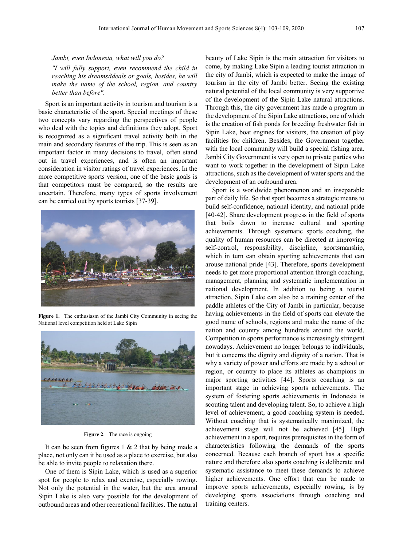#### *Jambi, even Indonesia, what will you do?*

*"I will fully support, even recommend the child in reaching his dreams/ideals or goals, besides, he will make the name of the school, region, and country better than before".*

Sport is an important activity in tourism and tourism is a basic characteristic of the sport. Special meetings of these two concepts vary regarding the perspectives of people who deal with the topics and definitions they adopt. Sport is recognized as a significant travel activity both in the main and secondary features of the trip. This is seen as an important factor in many decisions to travel, often stand out in travel experiences, and is often an important consideration in visitor ratings of travel experiences. In the more competitive sports version, one of the basic goals is that competitors must be compared, so the results are uncertain. Therefore, many types of sports involvement can be carried out by sports tourists [37-39].



**Figure 1.** The enthusiasm of the Jambi City Community in seeing the National level competition held at Lake Sipin



**Figure 2**. The race is ongoing

It can be seen from figures  $1 \& 2$  that by being made a place, not only can it be used as a place to exercise, but also be able to invite people to relaxation there.

One of them is Sipin Lake, which is used as a superior spot for people to relax and exercise, especially rowing. Not only the potential in the water, but the area around Sipin Lake is also very possible for the development of outbound areas and other recreational facilities. The natural

beauty of Lake Sipin is the main attraction for visitors to come, by making Lake Sipin a leading tourist attraction in the city of Jambi, which is expected to make the image of tourism in the city of Jambi better. Seeing the existing natural potential of the local community is very supportive of the development of the Sipin Lake natural attractions. Through this, the city government has made a program in the development of the Sipin Lake attractions, one of which is the creation of fish ponds for breeding freshwater fish in Sipin Lake, boat engines for visitors, the creation of play facilities for children. Besides, the Government together with the local community will build a special fishing area. Jambi City Government is very open to private parties who want to work together in the development of Sipin Lake attractions, such as the development of water sports and the development of an outbound area.

Sport is a worldwide phenomenon and an inseparable part of daily life. So that sport becomes a strategic means to build self-confidence, national identity, and national pride [40-42]. Share development progress in the field of sports that boils down to increase cultural and sporting achievements. Through systematic sports coaching, the quality of human resources can be directed at improving self-control, responsibility, discipline, sportsmanship, which in turn can obtain sporting achievements that can arouse national pride [43]. Therefore, sports development needs to get more proportional attention through coaching, management, planning and systematic implementation in national development. In addition to being a tourist attraction, Sipin Lake can also be a training center of the paddle athletes of the City of Jambi in particular, because having achievements in the field of sports can elevate the good name of schools, regions and make the name of the nation and country among hundreds around the world. Competition in sports performance is increasingly stringent nowadays. Achievement no longer belongs to individuals, but it concerns the dignity and dignity of a nation. That is why a variety of power and efforts are made by a school or region, or country to place its athletes as champions in major sporting activities [44]. Sports coaching is an important stage in achieving sports achievements. The system of fostering sports achievements in Indonesia is scouting talent and developing talent. So, to achieve a high level of achievement, a good coaching system is needed. Without coaching that is systematically maximized, the achievement stage will not be achieved [45]. High achievement in a sport, requires prerequisites in the form of characteristics following the demands of the sports concerned. Because each branch of sport has a specific nature and therefore also sports coaching is deliberate and systematic assistance to meet these demands to achieve higher achievements. One effort that can be made to improve sports achievements, especially rowing, is by developing sports associations through coaching and training centers.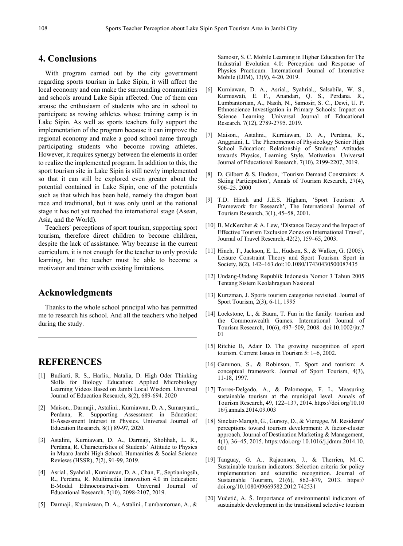## **4. Conclusions**

With program carried out by the city government regarding sports tourism in Lake Sipin, it will affect the local economy and can make the surrounding communities and schools around Lake Sipin affected. One of them can arouse the enthusiasm of students who are in school to participate as rowing athletes whose training camp is in Lake Sipin. As well as sports teachers fully support the implementation of the program because it can improve the regional economy and make a good school name through participating students who become rowing athletes. However, it requires synergy between the elements in order to realize the implemented program. In addition to this, the sport tourism site in Lake Sipin is still newly implemented so that it can still be explored even greater about the potential contained in Lake Sipin, one of the potentials such as that which has been held, namely the dragon boat race and traditional, but it was only until at the national stage it has not yet reached the international stage (Asean, Asia, and the World).

Teachers' perceptions of sport tourism, supporting sport tourism, therefore direct children to become children, despite the lack of assistance. Why because in the current curriculum, it is not enough for the teacher to only provide learning, but the teacher must be able to become a motivator and trainer with existing limitations.

## **Acknowledgments**

Thanks to the whole school principal who has permitted me to research his school. And all the teachers who helped during the study.

# **REFERENCES**

- [1] Budiarti, R. S., Harlis., Natalia, D. High Oder Thinking Skills for Biology Education: Applied Microbiology Learning Videos Based on Jambi Local Wisdom. Universal Journal of Education Research, 8(2), 689-694. 2020
- [2] Maison., Darmaji., Astalini., Kurniawan, D. A., Sumaryanti., Perdana, R. Supporting Assessment in Education: E-Assessment Interest in Physics. Universal Journal of Education Research, 8(1) 89-97, 2020.
- [3] Astalini, Kurniawan, D. A., Darmaji, Sholihah, L. R., Perdana, R. Characteristics of Students' Attitude to Physics in Muaro Jambi High School. Humanities & Social Science Reviews (HSSR), 7(2), 91-99, 2019.
- [4] Asrial., Syahrial., Kurniawan, D. A., Chan, F., Septianingsih, R., Perdana, R. Multimedia Innovation 4.0 in Education: E-Modul Ethnoconstrucivism. Universal Journal of Educational Research. 7(10), 2098-2107, 2019.
- [5] Darmaji., Kurniawan, D. A., Astalini., Lumbantoruan, A., &

Samosir, S. C. Mobile Learning in Higher Education for The Industrial Evolution 4.0: Perception and Response of Physics Practicum. International Journal of Interactive Mobile (IJIM), 13(9), 4-20, 2019.

- [6] Kurniawan, D. A., Asrial., Syahrial., Salsabila, W. S., Kurniawati, E. F., Anandari, Q. S., Perdana. R., Lumbantoruan, A., Nasih, N., Samosir, S. C., Dewi, U. P. Ethnoscience Investigation in Primary Schools: Impact on Science Learning. Universal Journal of Educational Research. 7(12), 2789-2795. 2019.
- [7] Maison., Astalini., Kurniawan, D. A., Perdana, R., Anggraini, L. The Phenomenon of Physicology Senior High School Education: Relationship of Students' Attitudes towards Physics, Learning Style, Motivation. Universal Journal of Educational Research. 7(10), 2199-2207, 2019.
- [8] D. Gilbert & S. Hudson, 'Tourism Demand Constraints: A Skiing Participation', Annals of Tourism Research, 27(4), 906–25. 2000
- [9] T.D. Hinch and J.E.S. Higham, 'Sport Tourism: A Framework for Research', The International Journal of Tourism Research, 3(1), 45–58, 2001.
- [10] B. McKercher & A. Lew, 'Distance Decay and the Impact of Effective Tourism Exclusion Zones on International Travel', Journal of Travel Research, 42(2), 159–65, 2003.
- [11] Hinch, T., Jackson, E. L., Hudson, S., & Walker, G. (2005). Leisure Constraint Theory and Sport Tourism. Sport in Society, 8(2), 142–163.doi:10.1080/17430430500087435
- [12] Undang-Undang Republik Indonesia Nomor 3 Tahun 2005 Tentang Sistem Keolahragaan Nasional
- [13] Kurtzman, J. Sports tourism categories revisited. Journal of Sport Tourism, 2(3), 6-11, 1995
- [14] Lockstone, L., & Baum, T. Fun in the family: tourism and the Commonwealth Games. International Journal of Tourism Research, 10(6), 497–509, 2008. doi:10.1002/jtr.7 01
- [15] Ritchie B, Adair D. The growing recognition of sport tourism. Current Issues in Tourism 5: 1–6, 2002.
- [16] Gammon, S., & Robinson, T. Sport and tourism: A conceptual framework. Journal of Sport Tourism, 4(3), 11-18, 1997.
- [17] Torres‐Delgado, A., & Palomeque, F. L. Measuring sustainable tourism at the municipal level. Annals of Tourism Research, 49, 122–137, 2014. https://doi.org/10.10 16/j.annals.2014.09.003
- [18] Sinclair‐Maragh, G., Gursoy, D., & Vieregge, M. Residents' perceptions toward tourism development: A factor‐cluster approach. Journal of Destination Marketing & Management, 4(1), 36–45, 2015. https://doi.org/ 10.1016/j.jdmm.2014.10. 001
- [19] Tanguay, G. A., Rajaonson, J., & Therrien, M.‐C. Sustainable tourism indicators: Selection criteria for policy implementation and scientific recognition. Journal of Sustainable Tourism, 21(6), 862–879, 2013. https:// doi.org/10.1080/09669582.2012.742531
- [20] Vučetić, A. Š. Importance of environmental indicators of sustainable development in the transitional selective tourism